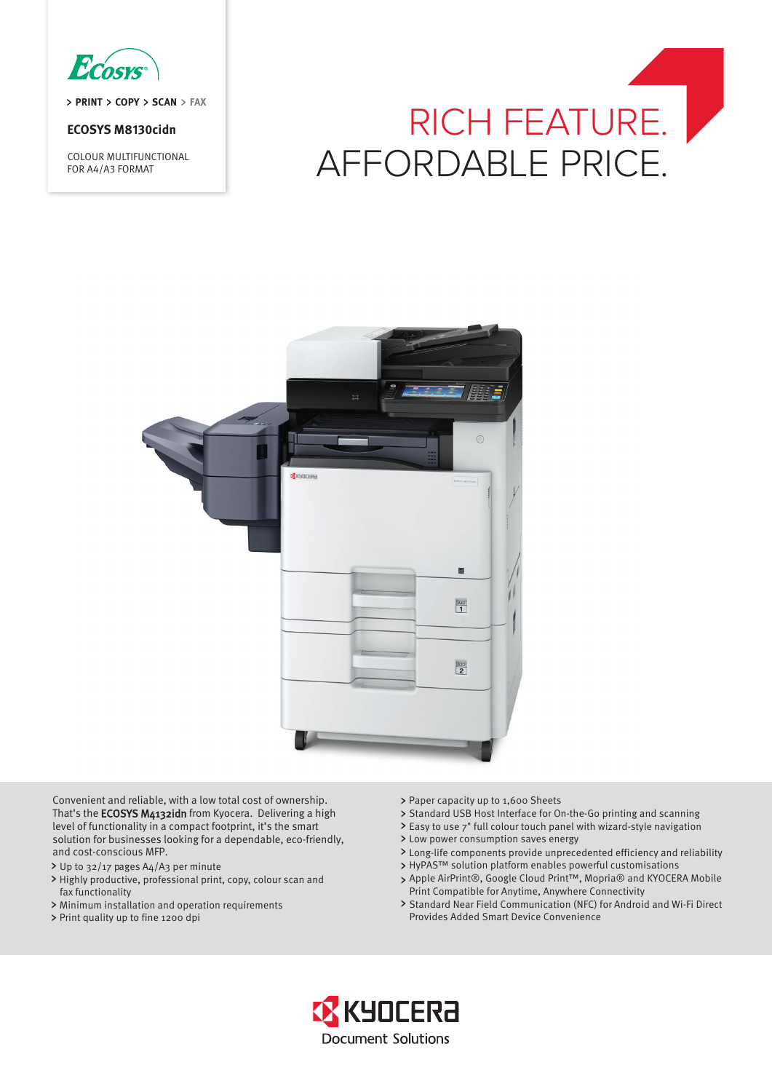

> PRINT > COPY > SCAN > FAX

## **ECOSYS M8130cidn**

COLOUR MULTIFUNCTIONAL FOR A4/A3 FORMAT

# RICH FEATURE. AFFORDABLE PRICE.



[HSURDOEL|HERORUDI] SHULRUII FLRDOLLKD<br>ORRDOFRI RIRHURLS 7KDRHII ROFLII ORRDOFRI RIRHURLS 7KDRHI 20FL IURP.\RFHUD 6DWLVI\LQJ\RXUPRVWFULWLFDO GRFXPHQWLPDJLQ J HPD**K**LOH UHDPOL**UD**LOEUHU SURFHHUD USULUDERP SDFIRRSUL IL D**UKRLFHIRUHFR** IULHDERI FRELRBIILFHI

- > Up to 32/17 pages A4/A3 per minute
- Highly productive, professional print, copy, colour scan and fax functionality
- Minimum installation and operation requirements
- $\rightarrow$
- > Paper capacity up to 1,600 Sheets Print quality up to fine 1200 dpi
- > Standard USB Host Interface for On-the-Go printing and scanning
- Easy to use 7" full colour touch panel with wizard-style navigation
- Low power consumption saves energy
- Long-life components provide unprecedented efficiency and reliability
- > HyPAS™ solution platform enables powerful customisations
- Apple AirPrint®, Google Cloud Print™, Mopria® and KYOCERA Mobile Print Compatible for Anytime, Anywhere Connectivity
- > Standard Near Field Communication (NFC) for Android and Wi-Fi Direct Provides Added Smart Device Convenience